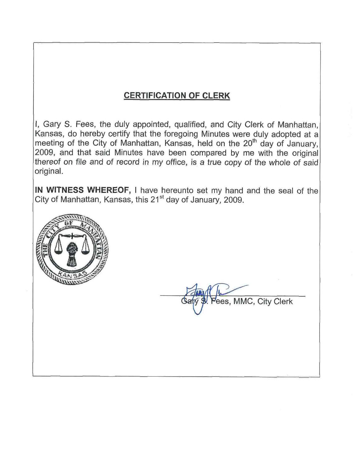# **CERTIFICATION OF CLERK**

I, Gary S. Fees, the duly appointed, qualified, and City Clerk of Manhattan, Kansas, do hereby certify that the foregoing Minutes were duly adopted at a meeting of the City of Manhattan, Kansas, held on the 20<sup>th</sup> day of January, 2009, and that said Minutes have been compared by me with the original thereof on file and of record in my office, is a true copy of the whole of said original.

IN WITNESS WHEREOF, I have hereunto set my hand and the seal of the City of Manhattan, Kansas, this 21<sup>st</sup> day of January, 2009.



ees, MMC, City Clerk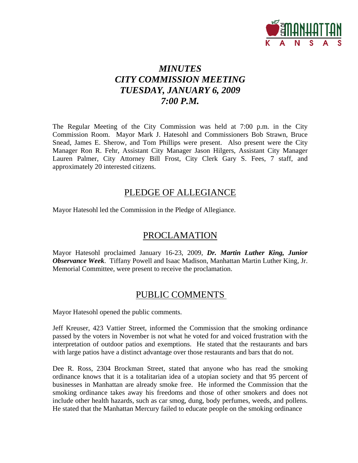

# *MINUTES CITY COMMISSION MEETING TUESDAY, JANUARY 6, 2009 7:00 P.M.*

The Regular Meeting of the City Commission was held at 7:00 p.m. in the City Commission Room. Mayor Mark J. Hatesohl and Commissioners Bob Strawn, Bruce Snead, James E. Sherow, and Tom Phillips were present. Also present were the City Manager Ron R. Fehr, Assistant City Manager Jason Hilgers, Assistant City Manager Lauren Palmer, City Attorney Bill Frost, City Clerk Gary S. Fees, 7 staff, and approximately 20 interested citizens.

# PLEDGE OF ALLEGIANCE

Mayor Hatesohl led the Commission in the Pledge of Allegiance.

# PROCLAMATION

Mayor Hatesohl proclaimed January 16-23, 2009, *Dr. Martin Luther King, Junior Observance Week*. Tiffany Powell and Isaac Madison, Manhattan Martin Luther King, Jr. Memorial Committee, were present to receive the proclamation.

# PUBLIC COMMENTS

Mayor Hatesohl opened the public comments.

Jeff Kreuser, 423 Vattier Street, informed the Commission that the smoking ordinance passed by the voters in November is not what he voted for and voiced frustration with the interpretation of outdoor patios and exemptions. He stated that the restaurants and bars with large patios have a distinct advantage over those restaurants and bars that do not.

Dee R. Ross, 2304 Brockman Street, stated that anyone who has read the smoking ordinance knows that it is a totalitarian idea of a utopian society and that 95 percent of businesses in Manhattan are already smoke free. He informed the Commission that the smoking ordinance takes away his freedoms and those of other smokers and does not include other health hazards, such as car smog, dung, body perfumes, weeds, and pollens. He stated that the Manhattan Mercury failed to educate people on the smoking ordinance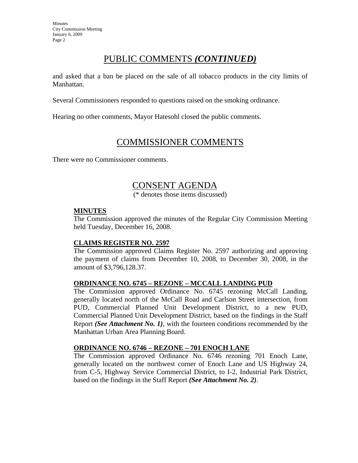# PUBLIC COMMENTS *(CONTINUED)*

and asked that a ban be placed on the sale of all tobacco products in the city limits of Manhattan.

Several Commissioners responded to questions raised on the smoking ordinance.

Hearing no other comments, Mayor Hatesohl closed the public comments.

# COMMISSIONER COMMENTS

There were no Commissioner comments.

# CONSENT AGENDA

(\* denotes those items discussed)

#### **MINUTES**

The Commission approved the minutes of the Regular City Commission Meeting held Tuesday, December 16, 2008.

#### **CLAIMS REGISTER NO. 2597**

The Commission approved Claims Register No. 2597 authorizing and approving the payment of claims from December 10, 2008, to December 30, 2008, in the amount of \$3,796,128.37.

#### **ORDINANCE NO. 6745 – REZONE – MCCALL LANDING PUD**

The Commission approved Ordinance No. 6745 rezoning McCall Landing, generally located north of the McCall Road and Carlson Street intersection, from PUD, Commercial Planned Unit Development District, to a new PUD, Commercial Planned Unit Development District, based on the findings in the Staff Report *(See Attachment No. 1)*, with the fourteen conditions recommended by the Manhattan Urban Area Planning Board.

#### **ORDINANCE NO. 6746 – REZONE – 701 ENOCH LANE**

The Commission approved Ordinance No. 6746 rezoning 701 Enoch Lane, generally located on the northwest corner of Enoch Lane and US Highway 24, from C-5, Highway Service Commercial District, to I-2, Industrial Park District, based on the findings in the Staff Report *(See Attachment No. 2)*.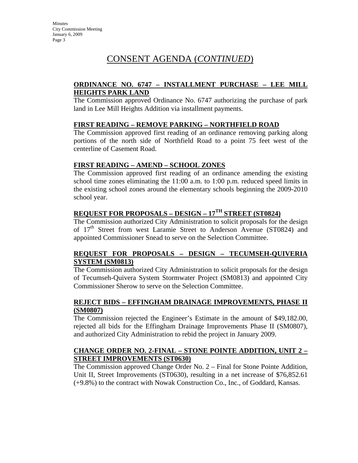#### **ORDINANCE NO. 6747 – INSTALLMENT PURCHASE – LEE MILL HEIGHTS PARK LAND**

The Commission approved Ordinance No. 6747 authorizing the purchase of park land in Lee Mill Heights Addition via installment payments.

#### **FIRST READING – REMOVE PARKING – NORTHFIELD ROAD**

The Commission approved first reading of an ordinance removing parking along portions of the north side of Northfield Road to a point 75 feet west of the centerline of Casement Road.

#### **FIRST READING – AMEND – SCHOOL ZONES**

The Commission approved first reading of an ordinance amending the existing school time zones eliminating the 11:00 a.m. to 1:00 p.m. reduced speed limits in the existing school zones around the elementary schools beginning the 2009-2010 school year.

## **REQUEST FOR PROPOSALS – DESIGN – 17TH STREET (ST0824)**

The Commission authorized City Administration to solicit proposals for the design of 17<sup>th</sup> Street from west Laramie Street to Anderson Avenue (ST0824) and appointed Commissioner Snead to serve on the Selection Committee.

#### **REQUEST FOR PROPOSALS – DESIGN – TECUMSEH-QUIVERIA SYSTEM (SM0813)**

The Commission authorized City Administration to solicit proposals for the design of Tecumseh-Quivera System Stormwater Project (SM0813) and appointed City Commissioner Sherow to serve on the Selection Committee.

#### **REJECT BIDS – EFFINGHAM DRAINAGE IMPROVEMENTS, PHASE II (SM0807)**

The Commission rejected the Engineer's Estimate in the amount of \$49,182.00, rejected all bids for the Effingham Drainage Improvements Phase II (SM0807), and authorized City Administration to rebid the project in January 2009.

#### **CHANGE ORDER NO. 2-FINAL – STONE POINTE ADDITION, UNIT 2 – STREET IMPROVEMENTS (ST0630)**

The Commission approved Change Order No. 2 – Final for Stone Pointe Addition, Unit II, Street Improvements (ST0630), resulting in a net increase of \$76,852.61 (+9.8%) to the contract with Nowak Construction Co., Inc., of Goddard, Kansas.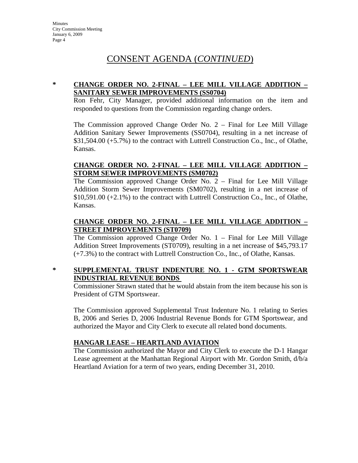#### **\* CHANGE ORDER NO. 2-FINAL – LEE MILL VILLAGE ADDITION – SANITARY SEWER IMPROVEMENTS (SS0704)**

Ron Fehr, City Manager, provided additional information on the item and responded to questions from the Commission regarding change orders.

The Commission approved Change Order No. 2 – Final for Lee Mill Village Addition Sanitary Sewer Improvements (SS0704), resulting in a net increase of \$31,504.00 (+5.7%) to the contract with Luttrell Construction Co., Inc., of Olathe, Kansas.

#### **CHANGE ORDER NO. 2-FINAL – LEE MILL VILLAGE ADDITION – STORM SEWER IMPROVEMENTS (SM0702)**

The Commission approved Change Order No. 2 – Final for Lee Mill Village Addition Storm Sewer Improvements (SM0702), resulting in a net increase of \$10,591.00 (+2.1%) to the contract with Luttrell Construction Co., Inc., of Olathe, Kansas.

#### **CHANGE ORDER NO. 2-FINAL – LEE MILL VILLAGE ADDITION – STREET IMPROVEMENTS (ST0709)**

The Commission approved Change Order No. 1 – Final for Lee Mill Village Addition Street Improvements (ST0709), resulting in a net increase of \$45,793.17 (+7.3%) to the contract with Luttrell Construction Co., Inc., of Olathe, Kansas.

#### **\* SUPPLEMENTAL TRUST INDENTURE NO. 1 - GTM SPORTSWEAR INDUSTRIAL REVENUE BONDS**

Commissioner Strawn stated that he would abstain from the item because his son is President of GTM Sportswear.

The Commission approved Supplemental Trust Indenture No. 1 relating to Series B, 2006 and Series D, 2006 Industrial Revenue Bonds for GTM Sportswear, and authorized the Mayor and City Clerk to execute all related bond documents.

## **HANGAR LEASE – HEARTLAND AVIATION**

The Commission authorized the Mayor and City Clerk to execute the D-1 Hangar Lease agreement at the Manhattan Regional Airport with Mr. Gordon Smith, d/b/a Heartland Aviation for a term of two years, ending December 31, 2010.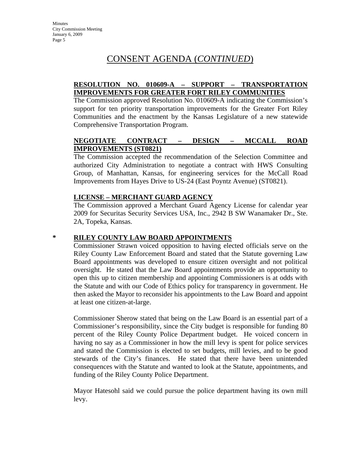#### **RESOLUTION NO. 010609-A – SUPPORT – TRANSPORTATION IMPROVEMENTS FOR GREATER FORT RILEY COMMUNITIES**

The Commission approved Resolution No. 010609-A indicating the Commission's support for ten priority transportation improvements for the Greater Fort Riley Communities and the enactment by the Kansas Legislature of a new statewide Comprehensive Transportation Program.

### **NEGOTIATE CONTRACT – DESIGN – MCCALL ROAD IMPROVEMENTS (ST0821)**

The Commission accepted the recommendation of the Selection Committee and authorized City Administration to negotiate a contract with HWS Consulting Group, of Manhattan, Kansas, for engineering services for the McCall Road Improvements from Hayes Drive to US-24 (East Poyntz Avenue) (ST0821).

#### **LICENSE – MERCHANT GUARD AGENCY**

The Commission approved a Merchant Guard Agency License for calendar year 2009 for Securitas Security Services USA, Inc., 2942 B SW Wanamaker Dr., Ste. 2A, Topeka, Kansas.

#### **\* RILEY COUNTY LAW BOARD APPOINTMENTS**

Commissioner Strawn voiced opposition to having elected officials serve on the Riley County Law Enforcement Board and stated that the Statute governing Law Board appointments was developed to ensure citizen oversight and not political oversight. He stated that the Law Board appointments provide an opportunity to open this up to citizen membership and appointing Commissioners is at odds with the Statute and with our Code of Ethics policy for transparency in government. He then asked the Mayor to reconsider his appointments to the Law Board and appoint at least one citizen-at-large.

Commissioner Sherow stated that being on the Law Board is an essential part of a Commissioner's responsibility, since the City budget is responsible for funding 80 percent of the Riley County Police Department budget. He voiced concern in having no say as a Commissioner in how the mill levy is spent for police services and stated the Commission is elected to set budgets, mill levies, and to be good stewards of the City's finances. He stated that there have been unintended consequences with the Statute and wanted to look at the Statute, appointments, and funding of the Riley County Police Department.

Mayor Hatesohl said we could pursue the police department having its own mill levy.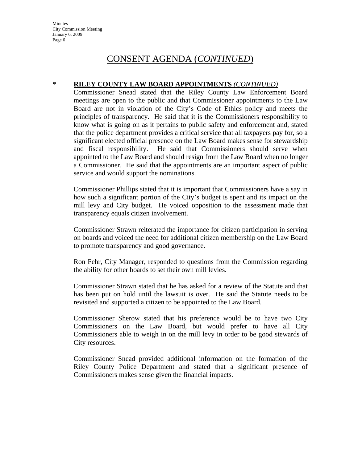**Minutes** City Commission Meeting January 6, 2009 Page 6

## CONSENT AGENDA (*CONTINUED*)

#### **\* RILEY COUNTY LAW BOARD APPOINTMENTS** *(CONTINUED)*

Commissioner Snead stated that the Riley County Law Enforcement Board meetings are open to the public and that Commissioner appointments to the Law Board are not in violation of the City's Code of Ethics policy and meets the principles of transparency. He said that it is the Commissioners responsibility to know what is going on as it pertains to public safety and enforcement and, stated that the police department provides a critical service that all taxpayers pay for, so a significant elected official presence on the Law Board makes sense for stewardship and fiscal responsibility. He said that Commissioners should serve when appointed to the Law Board and should resign from the Law Board when no longer a Commissioner. He said that the appointments are an important aspect of public service and would support the nominations.

Commissioner Phillips stated that it is important that Commissioners have a say in how such a significant portion of the City's budget is spent and its impact on the mill levy and City budget. He voiced opposition to the assessment made that transparency equals citizen involvement.

Commissioner Strawn reiterated the importance for citizen participation in serving on boards and voiced the need for additional citizen membership on the Law Board to promote transparency and good governance.

Ron Fehr, City Manager, responded to questions from the Commission regarding the ability for other boards to set their own mill levies.

Commissioner Strawn stated that he has asked for a review of the Statute and that has been put on hold until the lawsuit is over. He said the Statute needs to be revisited and supported a citizen to be appointed to the Law Board.

Commissioner Sherow stated that his preference would be to have two City Commissioners on the Law Board, but would prefer to have all City Commissioners able to weigh in on the mill levy in order to be good stewards of City resources.

Commissioner Snead provided additional information on the formation of the Riley County Police Department and stated that a significant presence of Commissioners makes sense given the financial impacts.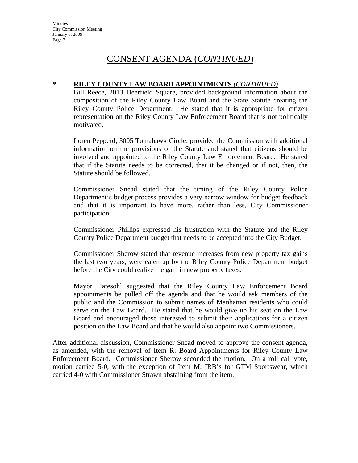#### **\* RILEY COUNTY LAW BOARD APPOINTMENTS** *(CONTINUED)*

Bill Reece, 2013 Deerfield Square, provided background information about the composition of the Riley County Law Board and the State Statute creating the Riley County Police Department. He stated that it is appropriate for citizen representation on the Riley County Law Enforcement Board that is not politically motivated.

Loren Pepperd, 3005 Tomahawk Circle, provided the Commission with additional information on the provisions of the Statute and stated that citizens should be involved and appointed to the Riley County Law Enforcement Board. He stated that if the Statute needs to be corrected, that it be changed or if not, then, the Statute should be followed.

Commissioner Snead stated that the timing of the Riley County Police Department's budget process provides a very narrow window for budget feedback and that it is important to have more, rather than less, City Commissioner participation.

Commissioner Phillips expressed his frustration with the Statute and the Riley County Police Department budget that needs to be accepted into the City Budget.

Commissioner Sherow stated that revenue increases from new property tax gains the last two years, were eaten up by the Riley County Police Department budget before the City could realize the gain in new property taxes.

Mayor Hatesohl suggested that the Riley County Law Enforcement Board appointments be pulled off the agenda and that he would ask members of the public and the Commission to submit names of Manhattan residents who could serve on the Law Board. He stated that he would give up his seat on the Law Board and encouraged those interested to submit their applications for a citizen position on the Law Board and that he would also appoint two Commissioners.

After additional discussion, Commissioner Snead moved to approve the consent agenda, as amended, with the removal of Item R: Board Appointments for Riley County Law Enforcement Board. Commissioner Sherow seconded the motion. On a roll call vote, motion carried 5-0, with the exception of Item M: IRB's for GTM Sportswear, which carried 4-0 with Commissioner Strawn abstaining from the item.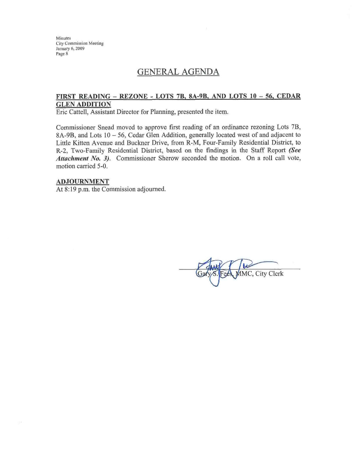Minutes **City Commission Meeting** January 6, 2009 Page 8

## **GENERAL AGENDA**

#### FIRST READING - REZONE - LOTS 7B, 8A-9B, AND LOTS 10 - 56, CEDAR **GLEN ADDITION**

Eric Cattell, Assistant Director for Planning, presented the item.

Commissioner Snead moved to approve first reading of an ordinance rezoning Lots 7B, 8A-9B, and Lots 10 - 56, Cedar Glen Addition, generally located west of and adjacent to Little Kitten Avenue and Buckner Drive, from R-M, Four-Family Residential District, to R-2, Two-Family Residential District, based on the findings in the Staff Report (See Attachment No. 3). Commissioner Sherow seconded the motion. On a roll call vote, motion carried 5-0.

#### **ADJOURNMENT**

At 8:19 p.m. the Commission adjourned.

MMC, City Clerk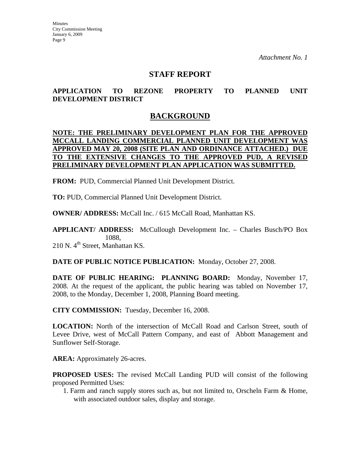## **STAFF REPORT**

### **APPLICATION TO REZONE PROPERTY TO PLANNED UNIT DEVELOPMENT DISTRICT**

## **BACKGROUND**

#### **NOTE: THE PRELIMINARY DEVELOPMENT PLAN FOR THE APPROVED MCCALL LANDING COMMERCIAL PLANNED UNIT DEVELOPMENT WAS APPROVED MAY 20, 2008 (SITE PLAN AND ORDINANCE ATTACHED.) DUE TO THE EXTENSIVE CHANGES TO THE APPROVED PUD, A REVISED PRELIMINARY DEVELOPMENT PLAN APPLICATION WAS SUBMITTED.**

**FROM:** PUD, Commercial Planned Unit Development District.

**TO:** PUD, Commercial Planned Unit Development District.

**OWNER/ ADDRESS:** McCall Inc. / 615 McCall Road, Manhattan KS.

**APPLICANT/ ADDRESS:** McCullough Development Inc. – Charles Busch/PO Box 1088,

 $210$  N.  $4<sup>th</sup>$  Street, Manhattan KS.

**DATE OF PUBLIC NOTICE PUBLICATION:** Monday, October 27, 2008.

**DATE OF PUBLIC HEARING: PLANNING BOARD:** Monday, November 17, 2008. At the request of the applicant, the public hearing was tabled on November 17, 2008, to the Monday, December 1, 2008, Planning Board meeting.

**CITY COMMISSION:** Tuesday, December 16, 2008.

**LOCATION:** North of the intersection of McCall Road and Carlson Street, south of Levee Drive, west of McCall Pattern Company, and east of Abbott Management and Sunflower Self-Storage.

**AREA:** Approximately 26-acres.

**PROPOSED USES:** The revised McCall Landing PUD will consist of the following proposed Permitted Uses:

1. Farm and ranch supply stores such as, but not limited to, Orscheln Farm & Home, with associated outdoor sales, display and storage.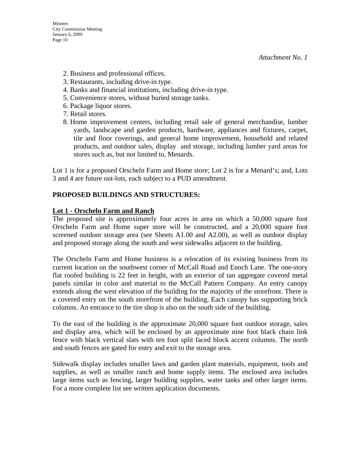- 2. Business and professional offices.
- 3. Restaurants, including drive-in type.
- 4. Banks and financial institutions, including drive-in type.
- 5. Convenience stores, without buried storage tanks.
- 6. Package liquor stores.
- 7. Retail stores.
- 8. Home improvement centers, including retail sale of general merchandise, lumber yards, landscape and garden products, hardware, appliances and fixtures, carpet, tile and floor coverings, and general home improvement, household and related products, and outdoor sales, display and storage, including lumber yard areas for stores such as, but not limited to, Menards.

Lot 1 is for a proposed Orscheln Farm and Home store; Lot 2 is for a Menard's; and, Lots 3 and 4 are future out-lots, each subject to a PUD amendment.

### **PROPOSED BUILDINGS AND STRUCTURES:**

#### **Lot 1 - Orscheln Farm and Ranch**

The proposed site is approximately four acres in area on which a 50,000 square foot Orscheln Farm and Home super store will be constructed, and a 20,000 square foot screened outdoor storage area (see Sheets A1.00 and A2.00), as well as outdoor display and proposed storage along the south and west sidewalks adjacent to the building.

The Orscheln Farm and Home business is a relocation of its existing business from its current location on the southwest corner of McCall Road and Enoch Lane. The one-story flat roofed building is 22 feet in height, with an exterior of tan aggregate covered metal panels similar in color and material to the McCall Pattern Company. An entry canopy extends along the west elevation of the building for the majority of the storefront. There is a covered entry on the south storefront of the building. Each canopy has supporting brick columns. An entrance to the tire shop is also on the south side of the building.

To the east of the building is the approximate 20,000 square foot outdoor storage, sales and display area, which will be enclosed by an approximate nine foot black chain link fence with black vertical slats with ten foot split faced block accent columns. The north and south fences are gated for entry and exit to the storage area.

Sidewalk display includes smaller lawn and garden plant materials, equipment, tools and supplies, as well as smaller ranch and home supply items. The enclosed area includes large items such as fencing, larger building supplies, water tanks and other larger items. For a more complete list see written application documents.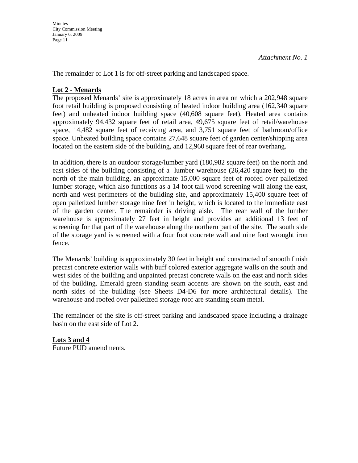**Minutes** City Commission Meeting January 6, 2009 Page 11

The remainder of Lot 1 is for off-street parking and landscaped space.

#### **Lot 2 - Menards**

The proposed Menards' site is approximately 18 acres in area on which a 202,948 square foot retail building is proposed consisting of heated indoor building area (162,340 square feet) and unheated indoor building space (40,608 square feet). Heated area contains approximately 94,432 square feet of retail area, 49,675 square feet of retail/warehouse space, 14,482 square feet of receiving area, and 3,751 square feet of bathroom/office space. Unheated building space contains 27,648 square feet of garden center/shipping area located on the eastern side of the building, and 12,960 square feet of rear overhang.

In addition, there is an outdoor storage/lumber yard (180,982 square feet) on the north and east sides of the building consisting of a lumber warehouse (26,420 square feet) to the north of the main building, an approximate 15,000 square feet of roofed over palletized lumber storage, which also functions as a 14 foot tall wood screening wall along the east, north and west perimeters of the building site, and approximately 15,400 square feet of open palletized lumber storage nine feet in height, which is located to the immediate east of the garden center. The remainder is driving aisle. The rear wall of the lumber warehouse is approximately 27 feet in height and provides an additional 13 feet of screening for that part of the warehouse along the northern part of the site. The south side of the storage yard is screened with a four foot concrete wall and nine foot wrought iron fence.

The Menards' building is approximately 30 feet in height and constructed of smooth finish precast concrete exterior walls with buff colored exterior aggregate walls on the south and west sides of the building and unpainted precast concrete walls on the east and north sides of the building. Emerald green standing seam accents are shown on the south, east and north sides of the building (see Sheets D4-D6 for more architectural details). The warehouse and roofed over palletized storage roof are standing seam metal.

The remainder of the site is off-street parking and landscaped space including a drainage basin on the east side of Lot 2.

**Lots 3 and 4** Future PUD amendments.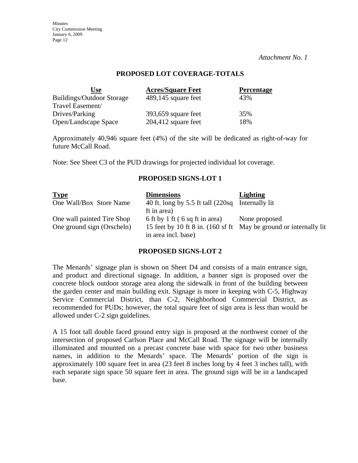#### **PROPOSED LOT COVERAGE-TOTALS**

| Use                              | <b>Acres/Square Feet</b> | <b>Percentage</b> |
|----------------------------------|--------------------------|-------------------|
| <b>Buildings/Outdoor Storage</b> | 489,145 square feet      | 43%               |
| Travel Easement/                 |                          |                   |
| Drives/Parking                   | $393,659$ square feet    | 35%               |
| Open/Landscape Space             | $204,412$ square feet    | 18%               |

Approximately 40,946 square feet (4%) of the site will be dedicated as right-of-way for future McCall Road.

Note: See Sheet C3 of the PUD drawings for projected individual lot coverage.

#### **PROPOSED SIGNS-LOT 1**

| <b>Type</b>                | <b>Dimensions</b>                                                 | <b>Lighting</b> |
|----------------------------|-------------------------------------------------------------------|-----------------|
| One Wall/Box Store Name    | 40 ft. long by 5.5 ft tall (220sq Internally lit                  |                 |
|                            | ft in area)                                                       |                 |
| One wall painted Tire Shop | 6 ft by 1 ft $(6 \text{ sq ft in area})$                          | None proposed   |
| One ground sign (Orscheln) | 15 feet by 10 ft 8 in. (160 sf ft May be ground or internally lit |                 |
|                            | in area incl. base)                                               |                 |

#### **PROPOSED SIGNS-LOT 2**

The Menards' signage plan is shown on Sheet D4 and consists of a main entrance sign, and product and directional signage. In addition, a banner sign is proposed over the concrete block outdoor storage area along the sidewalk in front of the building between the garden center and main building exit. Signage is more in keeping with C-5, Highway Service Commercial District, than C-2, Neighborhood Commercial District, as recommended for PUDs; however, the total square feet of sign area is less than would be allowed under C-2 sign guidelines.

A 15 foot tall double faced ground entry sign is proposed at the northwest corner of the intersection of proposed Carlson Place and McCall Road. The signage will be internally illuminated and mounted on a precast concrete base with space for two other business names, in addition to the Menards' space. The Menards' portion of the sign is approximately 100 square feet in area (23 feet 8 inches long by 4 feet 3 inches tall), with each separate sign space 50 square feet in area. The ground sign will be in a landscaped base.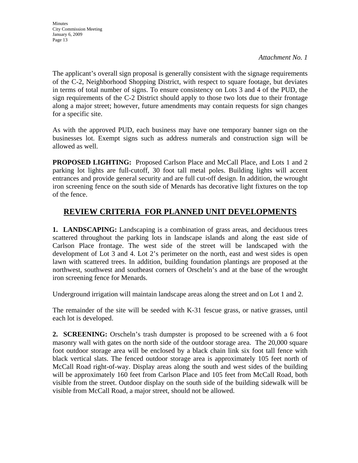The applicant's overall sign proposal is generally consistent with the signage requirements of the C-2, Neighborhood Shopping District, with respect to square footage, but deviates in terms of total number of signs. To ensure consistency on Lots 3 and 4 of the PUD, the sign requirements of the C-2 District should apply to those two lots due to their frontage along a major street; however, future amendments may contain requests for sign changes for a specific site.

As with the approved PUD, each business may have one temporary banner sign on the businesses lot. Exempt signs such as address numerals and construction sign will be allowed as well.

**PROPOSED LIGHTING:** Proposed Carlson Place and McCall Place, and Lots 1 and 2 parking lot lights are full-cutoff, 30 foot tall metal poles. Building lights will accent entrances and provide general security and are full cut-off design. In addition, the wrought iron screening fence on the south side of Menards has decorative light fixtures on the top of the fence.

## **REVIEW CRITERIA FOR PLANNED UNIT DEVELOPMENTS**

**1. LANDSCAPING:** Landscaping is a combination of grass areas, and deciduous trees scattered throughout the parking lots in landscape islands and along the east side of Carlson Place frontage. The west side of the street will be landscaped with the development of Lot 3 and 4. Lot 2's perimeter on the north, east and west sides is open lawn with scattered trees. In addition, building foundation plantings are proposed at the northwest, southwest and southeast corners of Orscheln's and at the base of the wrought iron screening fence for Menards.

Underground irrigation will maintain landscape areas along the street and on Lot 1 and 2.

The remainder of the site will be seeded with K-31 fescue grass, or native grasses, until each lot is developed.

**2. SCREENING:** Orscheln's trash dumpster is proposed to be screened with a 6 foot masonry wall with gates on the north side of the outdoor storage area. The 20,000 square foot outdoor storage area will be enclosed by a black chain link six foot tall fence with black vertical slats. The fenced outdoor storage area is approximately 105 feet north of McCall Road right-of-way. Display areas along the south and west sides of the building will be approximately 160 feet from Carlson Place and 105 feet from McCall Road, both visible from the street. Outdoor display on the south side of the building sidewalk will be visible from McCall Road, a major street, should not be allowed.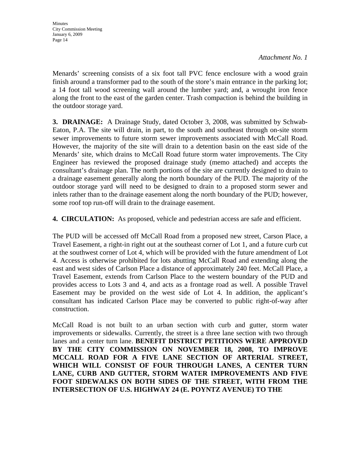Menards' screening consists of a six foot tall PVC fence enclosure with a wood grain finish around a transformer pad to the south of the store's main entrance in the parking lot; a 14 foot tall wood screening wall around the lumber yard; and, a wrought iron fence along the front to the east of the garden center. Trash compaction is behind the building in the outdoor storage yard.

**3. DRAINAGE:** A Drainage Study, dated October 3, 2008, was submitted by Schwab-Eaton, P.A. The site will drain, in part, to the south and southeast through on-site storm sewer improvements to future storm sewer improvements associated with McCall Road. However, the majority of the site will drain to a detention basin on the east side of the Menards' site, which drains to McCall Road future storm water improvements. The City Engineer has reviewed the proposed drainage study (memo attached) and accepts the consultant's drainage plan. The north portions of the site are currently designed to drain to a drainage easement generally along the north boundary of the PUD. The majority of the outdoor storage yard will need to be designed to drain to a proposed storm sewer and inlets rather than to the drainage easement along the north boundary of the PUD; however, some roof top run-off will drain to the drainage easement.

**4. CIRCULATION:** As proposed, vehicle and pedestrian access are safe and efficient.

The PUD will be accessed off McCall Road from a proposed new street, Carson Place, a Travel Easement, a right-in right out at the southeast corner of Lot 1, and a future curb cut at the southwest corner of Lot 4, which will be provided with the future amendment of Lot 4. Access is otherwise prohibited for lots abutting McCall Road and extending along the east and west sides of Carlson Place a distance of approximately 240 feet. McCall Place, a Travel Easement, extends from Carlson Place to the western boundary of the PUD and provides access to Lots 3 and 4, and acts as a frontage road as well. A possible Travel Easement may be provided on the west side of Lot 4. In addition, the applicant's consultant has indicated Carlson Place may be converted to public right-of-way after construction.

McCall Road is not built to an urban section with curb and gutter, storm water improvements or sidewalks. Currently, the street is a three lane section with two through lanes and a center turn lane. **BENEFIT DISTRICT PETITIONS WERE APPROVED BY THE CITY COMMISSION ON NOVEMBER 18, 2008, TO IMPROVE MCCALL ROAD FOR A FIVE LANE SECTION OF ARTERIAL STREET, WHICH WILL CONSIST OF FOUR THROUGH LANES, A CENTER TURN LANE, CURB AND GUTTER, STORM WATER IMPROVEMENTS AND FIVE FOOT SIDEWALKS ON BOTH SIDES OF THE STREET, WITH FROM THE INTERSECTION OF U.S. HIGHWAY 24 (E. POYNTZ AVENUE) TO THE**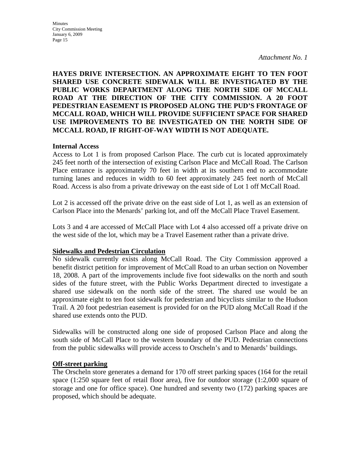**Minutes** City Commission Meeting January 6, 2009 Page 15

*Attachment No. 1*

#### **HAYES DRIVE INTERSECTION. AN APPROXIMATE EIGHT TO TEN FOOT SHARED USE CONCRETE SIDEWALK WILL BE INVESTIGATED BY THE PUBLIC WORKS DEPARTMENT ALONG THE NORTH SIDE OF MCCALL ROAD AT THE DIRECTION OF THE CITY COMMISSION. A 20 FOOT PEDESTRIAN EASEMENT IS PROPOSED ALONG THE PUD'S FRONTAGE OF MCCALL ROAD, WHICH WILL PROVIDE SUFFICIENT SPACE FOR SHARED USE IMPROVEMENTS TO BE INVESTIGATED ON THE NORTH SIDE OF MCCALL ROAD, IF RIGHT-OF-WAY WIDTH IS NOT ADEQUATE.**

#### **Internal Access**

Access to Lot 1 is from proposed Carlson Place. The curb cut is located approximately 245 feet north of the intersection of existing Carlson Place and McCall Road. The Carlson Place entrance is approximately 70 feet in width at its southern end to accommodate turning lanes and reduces in width to 60 feet approximately 245 feet north of McCall Road. Access is also from a private driveway on the east side of Lot 1 off McCall Road.

Lot 2 is accessed off the private drive on the east side of Lot 1, as well as an extension of Carlson Place into the Menards' parking lot, and off the McCall Place Travel Easement.

Lots 3 and 4 are accessed of McCall Place with Lot 4 also accessed off a private drive on the west side of the lot, which may be a Travel Easement rather than a private drive.

#### **Sidewalks and Pedestrian Circulation**

No sidewalk currently exists along McCall Road. The City Commission approved a benefit district petition for improvement of McCall Road to an urban section on November 18, 2008. A part of the improvements include five foot sidewalks on the north and south sides of the future street, with the Public Works Department directed to investigate a shared use sidewalk on the north side of the street. The shared use would be an approximate eight to ten foot sidewalk for pedestrian and bicyclists similar to the Hudson Trail. A 20 foot pedestrian easement is provided for on the PUD along McCall Road if the shared use extends onto the PUD.

Sidewalks will be constructed along one side of proposed Carlson Place and along the south side of McCall Place to the western boundary of the PUD. Pedestrian connections from the public sidewalks will provide access to Orscheln's and to Menards' buildings.

#### **Off-street parking**

The Orscheln store generates a demand for 170 off street parking spaces (164 for the retail space (1:250 square feet of retail floor area), five for outdoor storage (1:2,000 square of storage and one for office space). One hundred and seventy two (172) parking spaces are proposed, which should be adequate.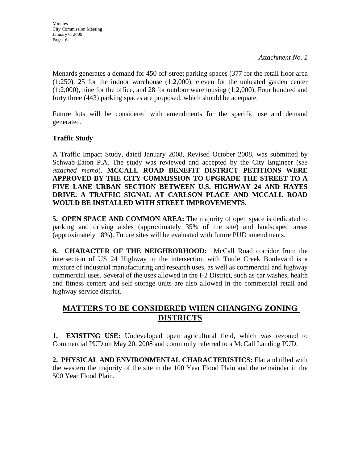Menards generates a demand for 450 off-street parking spaces (377 for the retail floor area (1:250), 25 for the indoor warehouse (1:2,000), eleven for the unheated garden center (1:2,000), nine for the office, and 28 for outdoor warehousing (1:2,000). Four hundred and forty three (443) parking spaces are proposed, which should be adequate.

Future lots will be considered with amendments for the specific use and demand generated.

### **Traffic Study**

A Traffic Impact Study, dated January 2008, Revised October 2008, was submitted by Schwab-Eaton P.A. The study was reviewed and accepted by the City Engineer (*see attached memo*). **MCCALL ROAD BENEFIT DISTRICT PETITIONS WERE APPROVED BY THE CITY COMMISSION TO UPGRADE THE STREET TO A FIVE LANE URBAN SECTION BETWEEN U.S. HIGHWAY 24 AND HAYES DRIVE. A TRAFFIC SIGNAL AT CARLSON PLACE AND MCCALL ROAD WOULD BE INSTALLED WITH STREET IMPROVEMENTS.**

**5. OPEN SPACE AND COMMON AREA:** The majority of open space is dedicated to parking and driving aisles (approximately 35% of the site) and landscaped areas (approximately 18%). Future sites will be evaluated with future PUD amendments.

**6. CHARACTER OF THE NEIGHBORHOOD:** McCall Road corridor from the intersection of US 24 Highway to the intersection with Tuttle Creek Boulevard is a mixture of industrial manufacturing and research uses, as well as commercial and highway commercial uses. Several of the uses allowed in the I-2 District, such as car washes, health and fitness centers and self storage units are also allowed in the commercial retail and highway service district.

## **MATTERS TO BE CONSIDERED WHEN CHANGING ZONING DISTRICTS**

**1. EXISTING USE:** Undeveloped open agricultural field, which was rezoned to Commercial PUD on May 20, 2008 and commonly referred to a McCall Landing PUD.

**2. PHYSICAL AND ENVIRONMENTAL CHARACTERISTICS:** Flat and tilled with the western the majority of the site in the 100 Year Flood Plain and the remainder in the 500 Year Flood Plain.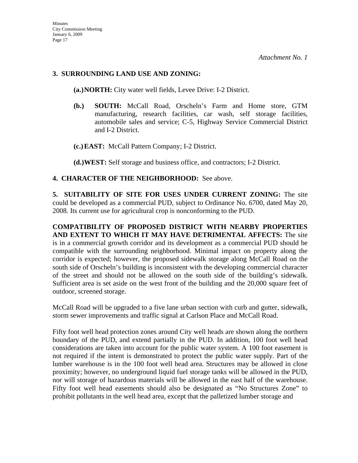#### **3. SURROUNDING LAND USE AND ZONING:**

**(a.)NORTH:** City water well fields, Levee Drive: I-2 District.

- **(b.) SOUTH:** McCall Road, Orscheln's Farm and Home store, GTM manufacturing, research facilities, car wash, self storage facilities, automobile sales and service; C-5, Highway Service Commercial District and I-2 District.
- **(c.)EAST:** McCall Pattern Company; I-2 District.

**(d.)WEST:** Self storage and business office, and contractors; I-2 District.

### **4. CHARACTER OF THE NEIGHBORHOOD:** See above.

**5. SUITABILITY OF SITE FOR USES UNDER CURRENT ZONING:** The site could be developed as a commercial PUD, subject to Ordinance No. 6700, dated May 20, 2008. Its current use for agricultural crop is nonconforming to the PUD.

**COMPATIBILITY OF PROPOSED DISTRICT WITH NEARBY PROPERTIES AND EXTENT TO WHICH IT MAY HAVE DETRIMENTAL AFFECTS:** The site is in a commercial growth corridor and its development as a commercial PUD should be compatible with the surrounding neighborhood. Minimal impact on property along the corridor is expected; however, the proposed sidewalk storage along McCall Road on the south side of Orscheln's building is inconsistent with the developing commercial character of the street and should not be allowed on the south side of the building's sidewalk. Sufficient area is set aside on the west front of the building and the 20,000 square feet of outdoor, screened storage.

McCall Road will be upgraded to a five lane urban section with curb and gutter, sidewalk, storm sewer improvements and traffic signal at Carlson Place and McCall Road.

Fifty foot well head protection zones around City well heads are shown along the northern boundary of the PUD, and extend partially in the PUD. In addition, 100 foot well head considerations are taken into account for the public water system. A 100 foot easement is not required if the intent is demonstrated to protect the public water supply. Part of the lumber warehouse is in the 100 foot well head area. Structures may be allowed in close proximity; however, no underground liquid fuel storage tanks will be allowed in the PUD, nor will storage of hazardous materials will be allowed in the east half of the warehouse. Fifty foot well head easements should also be designated as "No Structures Zone" to prohibit pollutants in the well head area, except that the palletized lumber storage and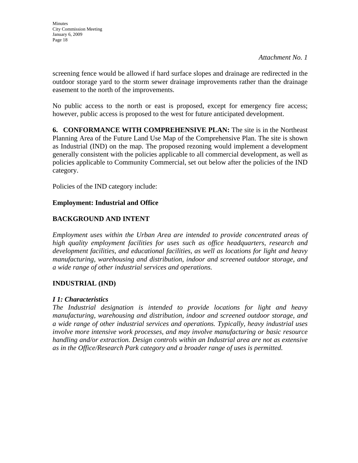screening fence would be allowed if hard surface slopes and drainage are redirected in the outdoor storage yard to the storm sewer drainage improvements rather than the drainage easement to the north of the improvements.

No public access to the north or east is proposed, except for emergency fire access; however, public access is proposed to the west for future anticipated development.

**6. CONFORMANCE WITH COMPREHENSIVE PLAN:** The site is in the Northeast Planning Area of the Future Land Use Map of the Comprehensive Plan. The site is shown as Industrial (IND) on the map. The proposed rezoning would implement a development generally consistent with the policies applicable to all commercial development, as well as policies applicable to Community Commercial, set out below after the policies of the IND category.

Policies of the IND category include:

### **Employment: Industrial and Office**

### **BACKGROUND AND INTENT**

*Employment uses within the Urban Area are intended to provide concentrated areas of high quality employment facilities for uses such as office headquarters, research and development facilities, and educational facilities, as well as locations for light and heavy manufacturing, warehousing and distribution, indoor and screened outdoor storage, and a wide range of other industrial services and operations.* 

#### **INDUSTRIAL (IND)**

#### *I 1: Characteristics*

*The Industrial designation is intended to provide locations for light and heavy manufacturing, warehousing and distribution, indoor and screened outdoor storage, and a wide range of other industrial services and operations. Typically, heavy industrial uses involve more intensive work processes, and may involve manufacturing or basic resource handling and/or extraction. Design controls within an Industrial area are not as extensive as in the Office/Research Park category and a broader range of uses is permitted.*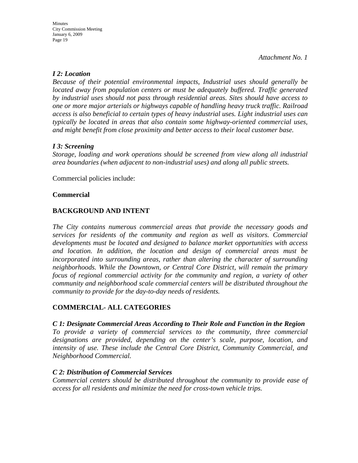#### *I 2: Location*

*Because of their potential environmental impacts, Industrial uses should generally be located away from population centers or must be adequately buffered. Traffic generated by industrial uses should not pass through residential areas. Sites should have access to one or more major arterials or highways capable of handling heavy truck traffic. Railroad access is also beneficial to certain types of heavy industrial uses. Light industrial uses can typically be located in areas that also contain some highway-oriented commercial uses, and might benefit from close proximity and better access to their local customer base.* 

### *I 3: Screening*

*Storage, loading and work operations should be screened from view along all industrial area boundaries (when adjacent to non-industrial uses) and along all public streets.* 

Commercial policies include:

#### **Commercial**

### **BACKGROUND AND INTENT**

*The City contains numerous commercial areas that provide the necessary goods and services for residents of the community and region as well as visitors. Commercial developments must be located and designed to balance market opportunities with access and location. In addition, the location and design of commercial areas must be incorporated into surrounding areas, rather than altering the character of surrounding neighborhoods. While the Downtown, or Central Core District, will remain the primary focus of regional commercial activity for the community and region, a variety of other community and neighborhood scale commercial centers will be distributed throughout the community to provide for the day-to-day needs of residents.* 

#### **COMMERCIAL- ALL CATEGORIES**

#### *C 1: Designate Commercial Areas According to Their Role and Function in the Region*

*To provide a variety of commercial services to the community, three commercial designations are provided, depending on the center's scale, purpose, location, and intensity of use. These include the Central Core District, Community Commercial, and Neighborhood Commercial.* 

#### *C 2: Distribution of Commercial Services*

*Commercial centers should be distributed throughout the community to provide ease of access for all residents and minimize the need for cross-town vehicle trips.*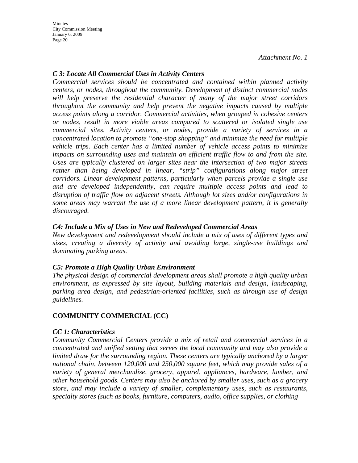**Minutes** City Commission Meeting January 6, 2009 Page 20

*Attachment No. 1*

#### *C 3: Locate All Commercial Uses in Activity Centers*

*Commercial services should be concentrated and contained within planned activity centers, or nodes, throughout the community. Development of distinct commercial nodes will help preserve the residential character of many of the major street corridors throughout the community and help prevent the negative impacts caused by multiple access points along a corridor. Commercial activities, when grouped in cohesive centers or nodes, result in more viable areas compared to scattered or isolated single use commercial sites. Activity centers, or nodes, provide a variety of services in a concentrated location to promote "one-stop shopping" and minimize the need for multiple vehicle trips. Each center has a limited number of vehicle access points to minimize impacts on surrounding uses and maintain an efficient traffic flow to and from the site. Uses are typically clustered on larger sites near the intersection of two major streets*  rather than being developed in linear, "strip" configurations along major street *corridors. Linear development patterns, particularly when parcels provide a single use and are developed independently, can require multiple access points and lead to disruption of traffic flow on adjacent streets. Although lot sizes and/or configurations in some areas may warrant the use of a more linear development pattern, it is generally discouraged.* 

#### *C4: Include a Mix of Uses in New and Redeveloped Commercial Areas*

*New development and redevelopment should include a mix of uses of different types and sizes, creating a diversity of activity and avoiding large, single-use buildings and dominating parking areas.* 

#### *C5: Promote a High Quality Urban Environment*

*The physical design of commercial development areas shall promote a high quality urban environment, as expressed by site layout, building materials and design, landscaping, parking area design, and pedestrian-oriented facilities, such as through use of design guidelines.* 

#### **COMMUNITY COMMERCIAL (CC)**

#### *CC 1: Characteristics*

*Community Commercial Centers provide a mix of retail and commercial services in a concentrated and unified setting that serves the local community and may also provide a limited draw for the surrounding region. These centers are typically anchored by a larger national chain, between 120,000 and 250,000 square feet, which may provide sales of a variety of general merchandise, grocery, apparel, appliances, hardware, lumber, and other household goods. Centers may also be anchored by smaller uses, such as a grocery store, and may include a variety of smaller, complementary uses, such as restaurants, specialty stores (such as books, furniture, computers, audio, office supplies, or clothing*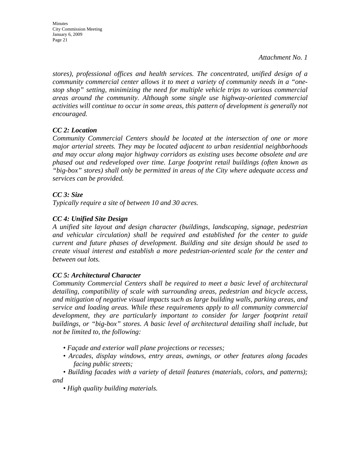Minutes City Commission Meeting January 6, 2009 Page 21

*Attachment No. 1*

*stores), professional offices and health services. The concentrated, unified design of a community commercial center allows it to meet a variety of community needs in a "onestop shop" setting, minimizing the need for multiple vehicle trips to various commercial areas around the community. Although some single use highway-oriented commercial*  activities will continue to occur in some areas, this pattern of development is generally not *encouraged.* 

## *CC 2: Location*

*Community Commercial Centers should be located at the intersection of one or more major arterial streets. They may be located adjacent to urban residential neighborhoods and may occur along major highway corridors as existing uses become obsolete and are phased out and redeveloped over time. Large footprint retail buildings (often known as "big-box" stores) shall only be permitted in areas of the City where adequate access and services can be provided.* 

### *CC 3: Size*

*Typically require a site of between 10 and 30 acres.* 

### *CC 4: Unified Site Design*

*A unified site layout and design character (buildings, landscaping, signage, pedestrian and vehicular circulation) shall be required and established for the center to guide current and future phases of development. Building and site design should be used to create visual interest and establish a more pedestrian-oriented scale for the center and between out lots.* 

#### *CC 5: Architectural Character*

*Community Commercial Centers shall be required to meet a basic level of architectural detailing, compatibility of scale with surrounding areas, pedestrian and bicycle access, and mitigation of negative visual impacts such as large building walls, parking areas, and service and loading areas. While these requirements apply to all community commercial development, they are particularly important to consider for larger footprint retail buildings, or "big-box" stores. A basic level of architectural detailing shall include, but not be limited to, the following:* 

- *Façade and exterior wall plane projections or recesses;*
- *Arcades, display windows, entry areas, awnings, or other features along facades facing public streets;*

*• Building facades with a variety of detail features (materials, colors, and patterns); and* 

*• High quality building materials.*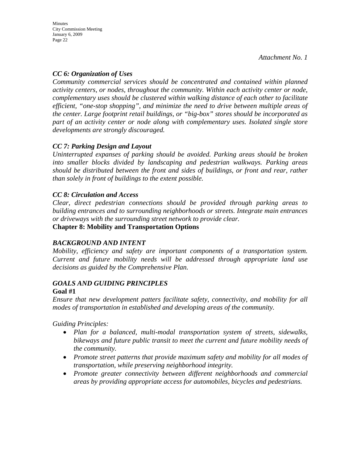### *CC 6: Organization of Uses*

*Community commercial services should be concentrated and contained within planned activity centers, or nodes, throughout the community. Within each activity center or node, complementary uses should be clustered within walking distance of each other to facilitate efficient, "one-stop shopping", and minimize the need to drive between multiple areas of the center. Large footprint retail buildings, or "big-box" stores should be incorporated as part of an activity center or node along with complementary uses. Isolated single store developments are strongly discouraged.* 

### *CC 7: Parking Design and Layout*

*Uninterrupted expanses of parking should be avoided. Parking areas should be broken into smaller blocks divided by landscaping and pedestrian walkways. Parking areas should be distributed between the front and sides of buildings, or front and rear, rather than solely in front of buildings to the extent possible.* 

### *CC 8: Circulation and Access*

*Clear, direct pedestrian connections should be provided through parking areas to building entrances and to surrounding neighborhoods or streets. Integrate main entrances or driveways with the surrounding street network to provide clear.* 

#### **Chapter 8: Mobility and Transportation Options**

#### *BACKGROUND AND INTENT*

*Mobility, efficiency and safety are important components of a transportation system. Current and future mobility needs will be addressed through appropriate land use decisions as guided by the Comprehensive Plan.* 

#### *GOALS AND GUIDING PRINCIPLES*  **Goal #1**

*Ensure that new development patters facilitate safety, connectivity, and mobility for all modes of transportation in established and developing areas of the community.* 

*Guiding Principles:* 

- *Plan for a balanced, multi-modal transportation system of streets, sidewalks, bikeways and future public transit to meet the current and future mobility needs of the community.*
- *Promote street patterns that provide maximum safety and mobility for all modes of transportation, while preserving neighborhood integrity.*
- *Promote greater connectivity between different neighborhoods and commercial areas by providing appropriate access for automobiles, bicycles and pedestrians.*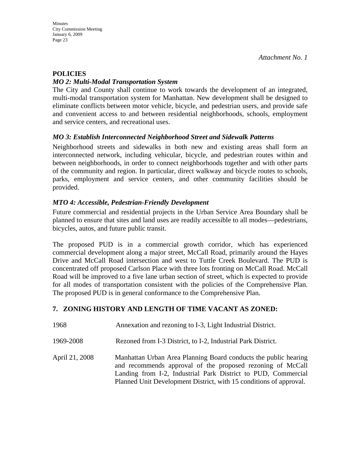#### **POLICIES**

#### *MO 2: Multi-Modal Transportation System*

The City and County shall continue to work towards the development of an integrated, multi-modal transportation system for Manhattan. New development shall be designed to eliminate conflicts between motor vehicle, bicycle, and pedestrian users, and provide safe and convenient access to and between residential neighborhoods, schools, employment and service centers, and recreational uses.

#### *MO 3: Establish Interconnected Neighborhood Street and Sidewalk Patterns*

Neighborhood streets and sidewalks in both new and existing areas shall form an interconnected network, including vehicular, bicycle, and pedestrian routes within and between neighborhoods, in order to connect neighborhoods together and with other parts of the community and region. In particular, direct walkway and bicycle routes to schools, parks, employment and service centers, and other community facilities should be provided.

#### *MTO 4: Accessible, Pedestrian-Friendly Development*

Future commercial and residential projects in the Urban Service Area Boundary shall be planned to ensure that sites and land uses are readily accessible to all modes—pedestrians, bicycles, autos, and future public transit.

The proposed PUD is in a commercial growth corridor, which has experienced commercial development along a major street, McCall Road, primarily around the Hayes Drive and McCall Road intersection and west to Tuttle Creek Boulevard. The PUD is concentrated off proposed Carlson Place with three lots fronting on McCall Road. McCall Road will be improved to a five lane urban section of street, which is expected to provide for all modes of transportation consistent with the policies of the Comprehensive Plan. The proposed PUD is in general conformance to the Comprehensive Plan.

#### **7. ZONING HISTORY AND LENGTH OF TIME VACANT AS ZONED:**

| 1968           | Annexation and rezoning to I-3, Light Industrial District.                                                                                                                                                                                                           |
|----------------|----------------------------------------------------------------------------------------------------------------------------------------------------------------------------------------------------------------------------------------------------------------------|
| 1969-2008      | Rezoned from I-3 District, to I-2, Industrial Park District.                                                                                                                                                                                                         |
| April 21, 2008 | Manhattan Urban Area Planning Board conducts the public hearing<br>and recommends approval of the proposed rezoning of McCall<br>Landing from I-2, Industrial Park District to PUD, Commercial<br>Planned Unit Development District, with 15 conditions of approval. |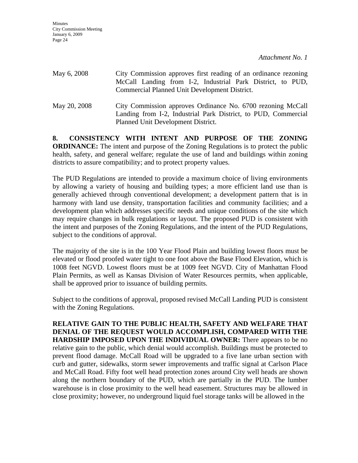| May 6, 2008  | City Commission approves first reading of an ordinance rezoning<br>McCall Landing from I-2, Industrial Park District, to PUD,<br>Commercial Planned Unit Development District. |
|--------------|--------------------------------------------------------------------------------------------------------------------------------------------------------------------------------|
| May 20, 2008 | City Commission approves Ordinance No. 6700 rezoning McCall<br>Landing from I-2, Industrial Park District, to PUD, Commercial<br>Planned Unit Development District.            |

**8. CONSISTENCY WITH INTENT AND PURPOSE OF THE ZONING ORDINANCE:** The intent and purpose of the Zoning Regulations is to protect the public health, safety, and general welfare; regulate the use of land and buildings within zoning districts to assure compatibility; and to protect property values.

The PUD Regulations are intended to provide a maximum choice of living environments by allowing a variety of housing and building types; a more efficient land use than is generally achieved through conventional development; a development pattern that is in harmony with land use density, transportation facilities and community facilities; and a development plan which addresses specific needs and unique conditions of the site which may require changes in bulk regulations or layout. The proposed PUD is consistent with the intent and purposes of the Zoning Regulations, and the intent of the PUD Regulations, subject to the conditions of approval.

The majority of the site is in the 100 Year Flood Plain and building lowest floors must be elevated or flood proofed water tight to one foot above the Base Flood Elevation, which is 1008 feet NGVD. Lowest floors must be at 1009 feet NGVD. City of Manhattan Flood Plain Permits, as well as Kansas Division of Water Resources permits, when applicable, shall be approved prior to issuance of building permits.

Subject to the conditions of approval, proposed revised McCall Landing PUD is consistent with the Zoning Regulations.

**RELATIVE GAIN TO THE PUBLIC HEALTH, SAFETY AND WELFARE THAT DENIAL OF THE REQUEST WOULD ACCOMPLISH, COMPARED WITH THE HARDSHIP IMPOSED UPON THE INDIVIDUAL OWNER:** There appears to be no relative gain to the public, which denial would accomplish. Buildings must be protected to prevent flood damage. McCall Road will be upgraded to a five lane urban section with curb and gutter, sidewalks, storm sewer improvements and traffic signal at Carlson Place and McCall Road. Fifty foot well head protection zones around City well heads are shown along the northern boundary of the PUD, which are partially in the PUD. The lumber warehouse is in close proximity to the well head easement. Structures may be allowed in close proximity; however, no underground liquid fuel storage tanks will be allowed in the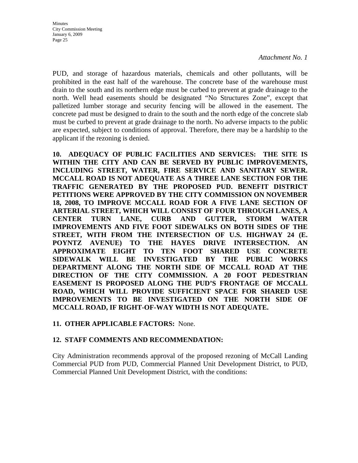PUD, and storage of hazardous materials, chemicals and other pollutants, will be prohibited in the east half of the warehouse. The concrete base of the warehouse must drain to the south and its northern edge must be curbed to prevent at grade drainage to the north. Well head easements should be designated "No Structures Zone", except that palletized lumber storage and security fencing will be allowed in the easement. The concrete pad must be designed to drain to the south and the north edge of the concrete slab must be curbed to prevent at grade drainage to the north. No adverse impacts to the public are expected, subject to conditions of approval. Therefore, there may be a hardship to the applicant if the rezoning is denied.

**10. ADEQUACY OF PUBLIC FACILITIES AND SERVICES: THE SITE IS WITHIN THE CITY AND CAN BE SERVED BY PUBLIC IMPROVEMENTS, INCLUDING STREET, WATER, FIRE SERVICE AND SANITARY SEWER. MCCALL ROAD IS NOT ADEQUATE AS A THREE LANE SECTION FOR THE TRAFFIC GENERATED BY THE PROPOSED PUD. BENEFIT DISTRICT PETITIONS WERE APPROVED BY THE CITY COMMISSION ON NOVEMBER 18, 2008, TO IMPROVE MCCALL ROAD FOR A FIVE LANE SECTION OF ARTERIAL STREET, WHICH WILL CONSIST OF FOUR THROUGH LANES, A CENTER TURN LANE, CURB AND GUTTER, STORM WATER IMPROVEMENTS AND FIVE FOOT SIDEWALKS ON BOTH SIDES OF THE STREET, WITH FROM THE INTERSECTION OF U.S. HIGHWAY 24 (E. POYNTZ AVENUE) TO THE HAYES DRIVE INTERSECTION. AN APPROXIMATE EIGHT TO TEN FOOT SHARED USE CONCRETE SIDEWALK WILL BE INVESTIGATED BY THE PUBLIC WORKS DEPARTMENT ALONG THE NORTH SIDE OF MCCALL ROAD AT THE DIRECTION OF THE CITY COMMISSION. A 20 FOOT PEDESTRIAN EASEMENT IS PROPOSED ALONG THE PUD'S FRONTAGE OF MCCALL ROAD, WHICH WILL PROVIDE SUFFICIENT SPACE FOR SHARED USE IMPROVEMENTS TO BE INVESTIGATED ON THE NORTH SIDE OF MCCALL ROAD, IF RIGHT-OF-WAY WIDTH IS NOT ADEQUATE.** 

#### **11. OTHER APPLICABLE FACTORS:** None.

#### **12. STAFF COMMENTS AND RECOMMENDATION:**

City Administration recommends approval of the proposed rezoning of McCall Landing Commercial PUD from PUD, Commercial Planned Unit Development District, to PUD, Commercial Planned Unit Development District, with the conditions: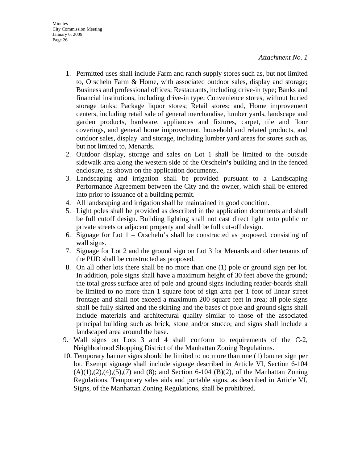- 1. Permitted uses shall include Farm and ranch supply stores such as, but not limited to, Orscheln Farm & Home, with associated outdoor sales, display and storage; Business and professional offices; Restaurants, including drive-in type; Banks and financial institutions, including drive-in type; Convenience stores, without buried storage tanks; Package liquor stores; Retail stores; and, Home improvement centers, including retail sale of general merchandise, lumber yards, landscape and garden products, hardware, appliances and fixtures, carpet, tile and floor coverings, and general home improvement, household and related products, and outdoor sales, display and storage, including lumber yard areas for stores such as, but not limited to, Menards.
- 2. Outdoor display, storage and sales on Lot 1 shall be limited to the outside sidewalk area along the western side of the Orscheln**'s** building and in the fenced enclosure, as shown on the application documents.
- 3. Landscaping and irrigation shall be provided pursuant to a Landscaping Performance Agreement between the City and the owner, which shall be entered into prior to issuance of a building permit.
- 4. All landscaping and irrigation shall be maintained in good condition.
- 5. Light poles shall be provided as described in the application documents and shall be full cutoff design. Building lighting shall not cast direct light onto public or private streets or adjacent property and shall be full cut-off design.
- 6. Signage for Lot  $1 -$ Orscheln's shall be constructed as proposed, consisting of wall signs.
- 7. Signage for Lot 2 and the ground sign on Lot 3 for Menards and other tenants of the PUD shall be constructed as proposed.
- 8. On all other lots there shall be no more than one (1) pole or ground sign per lot. In addition, pole signs shall have a maximum height of 30 feet above the ground; the total gross surface area of pole and ground signs including reader-boards shall be limited to no more than 1 square foot of sign area per 1 foot of linear street frontage and shall not exceed a maximum 200 square feet in area; all pole signs shall be fully skirted and the skirting and the bases of pole and ground signs shall include materials and architectural quality similar to those of the associated principal building such as brick, stone and/or stucco; and signs shall include a landscaped area around the base.
- 9. Wall signs on Lots 3 and 4 shall conform to requirements of the C-2, Neighborhood Shopping District of the Manhattan Zoning Regulations.
- 10. Temporary banner signs should be limited to no more than one (1) banner sign per lot. Exempt signage shall include signage described in Article VI, Section 6-104  $(A)(1),(2),(4),(5),(7)$  and  $(8)$ ; and Section 6-104  $(B)(2)$ , of the Manhattan Zoning Regulations. Temporary sales aids and portable signs, as described in Article VI, Signs, of the Manhattan Zoning Regulations, shall be prohibited.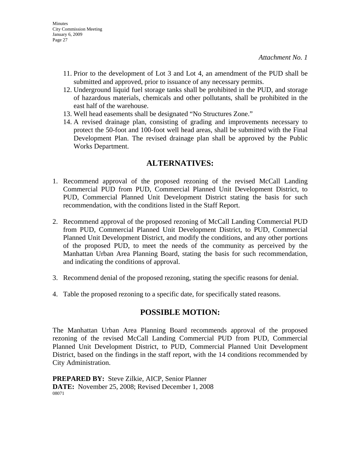- 11. Prior to the development of Lot 3 and Lot 4, an amendment of the PUD shall be submitted and approved, prior to issuance of any necessary permits.
- 12. Underground liquid fuel storage tanks shall be prohibited in the PUD, and storage of hazardous materials, chemicals and other pollutants, shall be prohibited in the east half of the warehouse.
- 13. Well head easements shall be designated "No Structures Zone."
- 14. A revised drainage plan, consisting of grading and improvements necessary to protect the 50-foot and 100-foot well head areas, shall be submitted with the Final Development Plan. The revised drainage plan shall be approved by the Public Works Department.

## **ALTERNATIVES:**

- 1. Recommend approval of the proposed rezoning of the revised McCall Landing Commercial PUD from PUD, Commercial Planned Unit Development District, to PUD, Commercial Planned Unit Development District stating the basis for such recommendation, with the conditions listed in the Staff Report.
- 2. Recommend approval of the proposed rezoning of McCall Landing Commercial PUD from PUD, Commercial Planned Unit Development District, to PUD, Commercial Planned Unit Development District, and modify the conditions, and any other portions of the proposed PUD, to meet the needs of the community as perceived by the Manhattan Urban Area Planning Board, stating the basis for such recommendation, and indicating the conditions of approval.
- 3. Recommend denial of the proposed rezoning, stating the specific reasons for denial.
- 4. Table the proposed rezoning to a specific date, for specifically stated reasons.

## **POSSIBLE MOTION:**

The Manhattan Urban Area Planning Board recommends approval of the proposed rezoning of the revised McCall Landing Commercial PUD from PUD, Commercial Planned Unit Development District, to PUD, Commercial Planned Unit Development District, based on the findings in the staff report, with the 14 conditions recommended by City Administration.

**PREPARED BY:** Steve Zilkie, AICP, Senior Planner **DATE:** November 25, 2008; Revised December 1, 2008 08071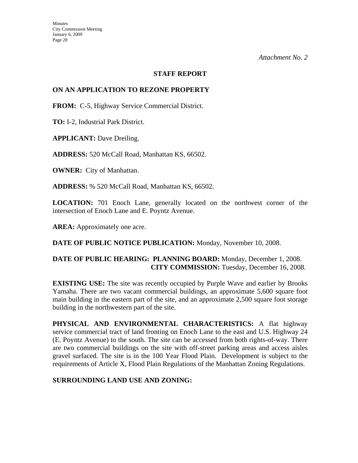#### **STAFF REPORT**

#### **ON AN APPLICATION TO REZONE PROPERTY**

**FROM:** C-5, Highway Service Commercial District.

**TO:** I-2, Industrial Park District.

**APPLICANT:** Dave Dreiling.

**ADDRESS:** 520 McCall Road, Manhattan KS, 66502.

**OWNER:** City of Manhattan.

**ADDRESS:** % 520 McCall Road, Manhattan KS, 66502.

**LOCATION:** 701 Enoch Lane, generally located on the northwest corner of the intersection of Enoch Lane and E. Poyntz Avenue.

AREA: Approximately one acre.

**DATE OF PUBLIC NOTICE PUBLICATION:** Monday, November 10, 2008.

#### **DATE OF PUBLIC HEARING: PLANNING BOARD:** Monday, December 1, 2008. **CITY COMMISSION:** Tuesday, December 16, 2008.

**EXISTING USE:** The site was recently occupied by Purple Wave and earlier by Brooks Yamaha. There are two vacant commercial buildings, an approximate 5,600 square foot main building in the eastern part of the site, and an approximate 2,500 square foot storage building in the northwestern part of the site.

**PHYSICAL AND ENVIRONMENTAL CHARACTERISTICS:** A flat highway service commercial tract of land fronting on Enoch Lane to the east and U.S. Highway 24 (E. Poyntz Avenue) to the south. The site can be accessed from both rights-of-way. There are two commercial buildings on the site with off-street parking areas and access aisles gravel surfaced. The site is in the 100 Year Flood Plain. Development is subject to the requirements of Article X, Flood Plain Regulations of the Manhattan Zoning Regulations.

#### **SURROUNDING LAND USE AND ZONING:**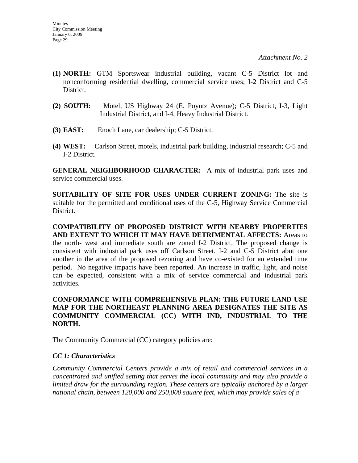- **(1) NORTH:** GTM Sportswear industrial building, vacant C-5 District lot and nonconforming residential dwelling, commercial service uses; I-2 District and C-5 District.
- **(2) SOUTH:** Motel, US Highway 24 (E. Poyntz Avenue); C-5 District, I-3, Light Industrial District, and I-4, Heavy Industrial District.
- **(3) EAST:** Enoch Lane, car dealership; C-5 District.
- **(4) WEST:** Carlson Street, motels, industrial park building, industrial research; C-5 and I-2 District.

**GENERAL NEIGHBORHOOD CHARACTER:** A mix of industrial park uses and service commercial uses.

**SUITABILITY OF SITE FOR USES UNDER CURRENT ZONING:** The site is suitable for the permitted and conditional uses of the C-5, Highway Service Commercial District.

**COMPATIBILITY OF PROPOSED DISTRICT WITH NEARBY PROPERTIES AND EXTENT TO WHICH IT MAY HAVE DETRIMENTAL AFFECTS:** Areas to the north- west and immediate south are zoned I-2 District. The proposed change is consistent with industrial park uses off Carlson Street. I-2 and C-5 District abut one another in the area of the proposed rezoning and have co-existed for an extended time period. No negative impacts have been reported. An increase in traffic, light, and noise can be expected, consistent with a mix of service commercial and industrial park activities.

#### **CONFORMANCE WITH COMPREHENSIVE PLAN: THE FUTURE LAND USE MAP FOR THE NORTHEAST PLANNING AREA DESIGNATES THE SITE AS COMMUNITY COMMERCIAL (CC) WITH IND, INDUSTRIAL TO THE NORTH.**

The Community Commercial (CC) category policies are:

#### *CC 1: Characteristics*

*Community Commercial Centers provide a mix of retail and commercial services in a concentrated and unified setting that serves the local community and may also provide a limited draw for the surrounding region. These centers are typically anchored by a larger national chain, between 120,000 and 250,000 square feet, which may provide sales of a*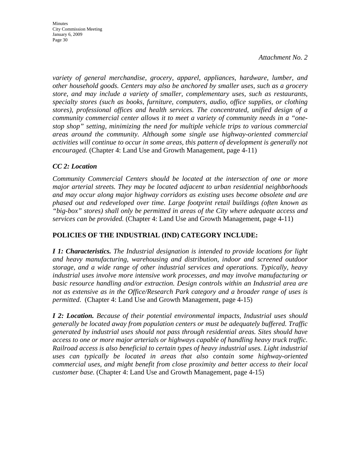**Minutes** City Commission Meeting January 6, 2009 Page 30

*Attachment No. 2* 

*variety of general merchandise, grocery, apparel, appliances, hardware, lumber, and other household goods. Centers may also be anchored by smaller uses, such as a grocery store, and may include a variety of smaller, complementary uses, such as restaurants, specialty stores (such as books, furniture, computers, audio, office supplies, or clothing stores), professional offices and health services. The concentrated, unified design of a community commercial center allows it to meet a variety of community needs in a "onestop shop" setting, minimizing the need for multiple vehicle trips to various commercial areas around the community. Although some single use highway-oriented commercial activities will continue to occur in some areas, this pattern of development is generally not encouraged.* (Chapter 4: Land Use and Growth Management, page 4-11)

#### *CC 2: Location*

*Community Commercial Centers should be located at the intersection of one or more major arterial streets. They may be located adjacent to urban residential neighborhoods and may occur along major highway corridors as existing uses become obsolete and are phased out and redeveloped over time. Large footprint retail buildings (often known as "big-box" stores) shall only be permitted in areas of the City where adequate access and services can be provided.* (Chapter 4: Land Use and Growth Management, page 4-11)

#### **POLICIES OF THE INDUSTRIAL (IND) CATEGORY INCLUDE:**

*I 1: Characteristics. The Industrial designation is intended to provide locations for light and heavy manufacturing, warehousing and distribution, indoor and screened outdoor storage, and a wide range of other industrial services and operations. Typically, heavy industrial uses involve more intensive work processes, and may involve manufacturing or basic resource handling and/or extraction. Design controls within an Industrial area are not as extensive as in the Office/Research Park category and a broader range of uses is permitted*. (Chapter 4: Land Use and Growth Management, page 4-15)

*I 2: Location. Because of their potential environmental impacts, Industrial uses should generally be located away from population centers or must be adequately buffered. Traffic generated by industrial uses should not pass through residential areas. Sites should have access to one or more major arterials or highways capable of handling heavy truck traffic. Railroad access is also beneficial to certain types of heavy industrial uses. Light industrial uses can typically be located in areas that also contain some highway-oriented commercial uses, and might benefit from close proximity and better access to their local customer base.* (Chapter 4: Land Use and Growth Management, page 4-15)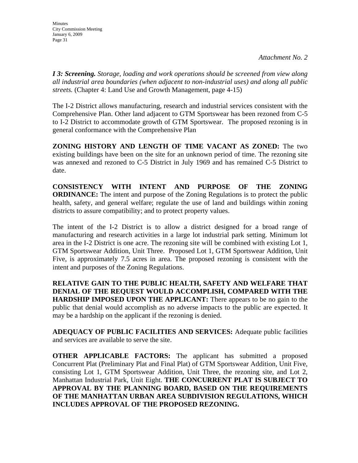*I 3: Screening. Storage, loading and work operations should be screened from view along all industrial area boundaries (when adjacent to non-industrial uses) and along all public streets.* (Chapter 4: Land Use and Growth Management, page 4-15)

The I-2 District allows manufacturing, research and industrial services consistent with the Comprehensive Plan. Other land adjacent to GTM Sportswear has been rezoned from C-5 to I-2 District to accommodate growth of GTM Sportswear. The proposed rezoning is in general conformance with the Comprehensive Plan

**ZONING HISTORY AND LENGTH OF TIME VACANT AS ZONED:** The two existing buildings have been on the site for an unknown period of time. The rezoning site was annexed and rezoned to C-5 District in July 1969 and has remained C-5 District to date.

**CONSISTENCY WITH INTENT AND PURPOSE OF THE ZONING ORDINANCE:** The intent and purpose of the Zoning Regulations is to protect the public health, safety, and general welfare; regulate the use of land and buildings within zoning districts to assure compatibility; and to protect property values.

The intent of the I-2 District is to allow a district designed for a broad range of manufacturing and research activities in a large lot industrial park setting. Minimum lot area in the I-2 District is one acre. The rezoning site will be combined with existing Lot 1, GTM Sportswear Addition, Unit Three. Proposed Lot 1, GTM Sportswear Addition, Unit Five, is approximately 7.5 acres in area. The proposed rezoning is consistent with the intent and purposes of the Zoning Regulations.

**RELATIVE GAIN TO THE PUBLIC HEALTH, SAFETY AND WELFARE THAT DENIAL OF THE REQUEST WOULD ACCOMPLISH, COMPARED WITH THE HARDSHIP IMPOSED UPON THE APPLICANT:** There appears to be no gain to the public that denial would accomplish as no adverse impacts to the public are expected. It may be a hardship on the applicant if the rezoning is denied.

**ADEQUACY OF PUBLIC FACILITIES AND SERVICES:** Adequate public facilities and services are available to serve the site.

**OTHER APPLICABLE FACTORS:** The applicant has submitted a proposed Concurrent Plat (Preliminary Plat and Final Plat) of GTM Sportswear Addition, Unit Five, consisting Lot 1, GTM Sportswear Addition, Unit Three, the rezoning site, and Lot 2, Manhattan Industrial Park, Unit Eight. **THE CONCURRENT PLAT IS SUBJECT TO APPROVAL BY THE PLANNING BOARD, BASED ON THE REQUIREMENTS OF THE MANHATTAN URBAN AREA SUBDIVISION REGULATIONS, WHICH INCLUDES APPROVAL OF THE PROPOSED REZONING.**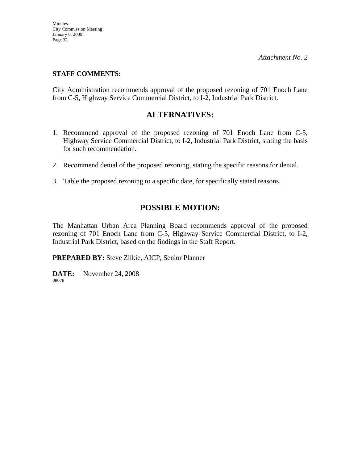#### **STAFF COMMENTS:**

City Administration recommends approval of the proposed rezoning of 701 Enoch Lane from C-5, Highway Service Commercial District, to I-2, Industrial Park District.

## **ALTERNATIVES:**

- 1. Recommend approval of the proposed rezoning of 701 Enoch Lane from C-5, Highway Service Commercial District, to I-2, Industrial Park District, stating the basis for such recommendation.
- 2. Recommend denial of the proposed rezoning, stating the specific reasons for denial.
- 3. Table the proposed rezoning to a specific date, for specifically stated reasons.

## **POSSIBLE MOTION:**

The Manhattan Urban Area Planning Board recommends approval of the proposed rezoning of 701 Enoch Lane from C-5, Highway Service Commercial District, to I-2, Industrial Park District, based on the findings in the Staff Report.

**PREPARED BY:** Steve Zilkie, AICP, Senior Planner

**DATE:** November 24, 2008 08078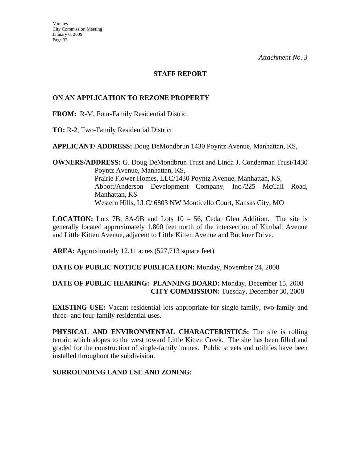#### **STAFF REPORT**

#### **ON AN APPLICATION TO REZONE PROPERTY**

**FROM:** R-M, Four-Family Residential District

**TO:** R-2, Two-Family Residential District

**APPLICANT/ ADDRESS:** Doug DeMondbrun 1430 Poyntz Avenue, Manhattan, KS,

**OWNERS/ADDRESS:** G. Doug DeMondbrun Trust and Linda J. Conderman Trust/1430 Poyntz Avenue, Manhattan, KS, Prairie Flower Homes, LLC/1430 Poyntz Avenue, Manhattan, KS, Abbott/Anderson Development Company, Inc./225 McCall Road, Manhattan, KS Western Hills, LLC/ 6803 NW Monticello Court, Kansas City, MO

**LOCATION:** Lots 7B, 8A-9B and Lots 10 – 56, Cedar Glen Addition. The site is generally located approximately 1,800 feet north of the intersection of Kimball Avenue and Little Kitten Avenue, adjacent to Little Kitten Avenue and Buckner Drive.

**AREA:** Approximately 12.11 acres (527,713 square feet)

**DATE OF PUBLIC NOTICE PUBLICATION:** Monday, November 24, 2008

### **DATE OF PUBLIC HEARING: PLANNING BOARD:** Monday, December 15, 2008 **CITY COMMISSION:** Tuesday, December 30, 2008

**EXISTING USE:** Vacant residential lots appropriate for single-family, two-family and three- and four-family residential uses.

**PHYSICAL AND ENVIRONMENTAL CHARACTERISTICS:** The site is rolling terrain which slopes to the west toward Little Kitten Creek. The site has been filled and graded for the construction of single-family homes. Public streets and utilities have been installed throughout the subdivision.

#### **SURROUNDING LAND USE AND ZONING:**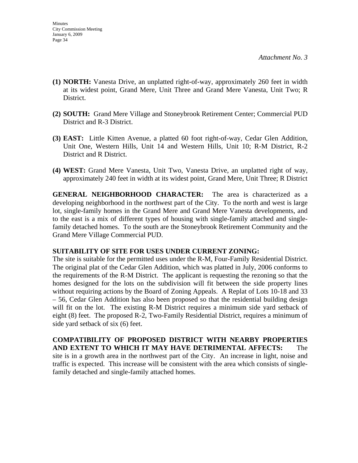- **(1) NORTH:** Vanesta Drive, an unplatted right-of-way, approximately 260 feet in width at its widest point, Grand Mere, Unit Three and Grand Mere Vanesta, Unit Two; R District.
- **(2) SOUTH:** Grand Mere Village and Stoneybrook Retirement Center; Commercial PUD District and R-3 District.
- **(3) EAST:** Little Kitten Avenue, a platted 60 foot right-of-way, Cedar Glen Addition, Unit One, Western Hills, Unit 14 and Western Hills, Unit 10; R-M District, R-2 District and R District.
- **(4) WEST:** Grand Mere Vanesta, Unit Two, Vanesta Drive, an unplatted right of way, approximately 240 feet in width at its widest point, Grand Mere, Unit Three; R District

**GENERAL NEIGHBORHOOD CHARACTER:** The area is characterized as a developing neighborhood in the northwest part of the City. To the north and west is large lot, single-family homes in the Grand Mere and Grand Mere Vanesta developments, and to the east is a mix of different types of housing with single-family attached and singlefamily detached homes. To the south are the Stoneybrook Retirement Community and the Grand Mere Village Commercial PUD.

#### **SUITABILITY OF SITE FOR USES UNDER CURRENT ZONING:**

The site is suitable for the permitted uses under the R-M, Four-Family Residential District. The original plat of the Cedar Glen Addition, which was platted in July, 2006 conforms to the requirements of the R-M District. The applicant is requesting the rezoning so that the homes designed for the lots on the subdivision will fit between the side property lines without requiring actions by the Board of Zoning Appeals. A Replat of Lots 10-18 and 33 – 56, Cedar Glen Addition has also been proposed so that the residential building design will fit on the lot. The existing R-M District requires a minimum side yard setback of eight (8) feet. The proposed R-2, Two-Family Residential District, requires a minimum of side yard setback of six (6) feet.

**COMPATIBILITY OF PROPOSED DISTRICT WITH NEARBY PROPERTIES AND EXTENT TO WHICH IT MAY HAVE DETRIMENTAL AFFECTS:** The site is in a growth area in the northwest part of the City. An increase in light, noise and traffic is expected. This increase will be consistent with the area which consists of singlefamily detached and single-family attached homes.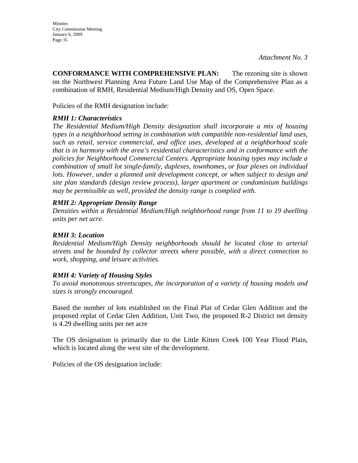**CONFORMANCE WITH COMPREHENSIVE PLAN:** The rezoning site is shown on the Northwest Planning Area Future Land Use Map of the Comprehensive Plan as a combination of RMH, Residential Medium/High Density and OS, Open Space.

Policies of the RMH designation include:

## *RMH 1: Characteristics*

*The Residential Medium/High Density designation shall incorporate a mix of housing types in a neighborhood setting in combination with compatible non-residential land uses, such as retail, service commercial, and office uses, developed at a neighborhood scale that is in harmony with the area's residential characteristics and in conformance with the policies for Neighborhood Commercial Centers. Appropriate housing types may include a combination of small lot single-family, duplexes, townhomes, or four plexes on individual*  lots. However, under a planned unit development concept, or when subject to design and *site plan standards (design review process), larger apartment or condominium buildings may be permissible as well, provided the density range is complied with.* 

#### *RMH 2: Appropriate Density Range*

*Densities within a Residential Medium/High neighborhood range from 11 to 19 dwelling units per net acre.* 

#### *RMH 3: Location*

*Residential Medium/High Density neighborhoods should be located close to arterial streets and be bounded by collector streets where possible, with a direct connection to work, shopping, and leisure activities.* 

#### *RMH 4: Variety of Housing Styles*

*To avoid monotonous streetscapes, the incorporation of a variety of housing models and sizes is strongly encouraged*.

Based the number of lots established on the Final Plat of Cedar Glen Addition and the proposed replat of Cedar Glen Addition, Unit Two, the proposed R-2 District net density is 4.29 dwelling units per net acre

The OS designation is primarily due to the Little Kitten Creek 100 Year Flood Plain, which is located along the west site of the development.

Policies of the OS designation include: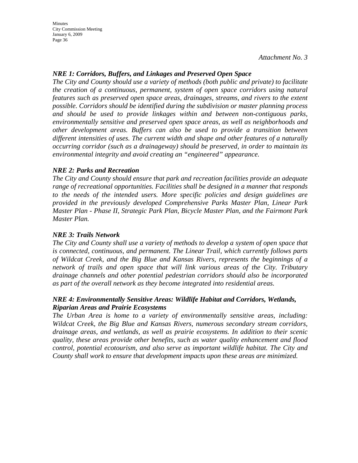Minutes City Commission Meeting January 6, 2009 Page 36

*Attachment No. 3* 

#### *NRE 1: Corridors, Buffers, and Linkages and Preserved Open Space*

*The City and County should use a variety of methods (both public and private) to facilitate the creation of a continuous, permanent, system of open space corridors using natural features such as preserved open space areas, drainages, streams, and rivers to the extent possible. Corridors should be identified during the subdivision or master planning process and should be used to provide linkages within and between non-contiguous parks, environmentally sensitive and preserved open space areas, as well as neighborhoods and other development areas. Buffers can also be used to provide a transition between different intensities of uses. The current width and shape and other features of a naturally occurring corridor (such as a drainageway) should be preserved, in order to maintain its environmental integrity and avoid creating an "engineered" appearance.* 

#### *NRE 2: Parks and Recreation*

*The City and County should ensure that park and recreation facilities provide an adequate range of recreational opportunities. Facilities shall be designed in a manner that responds to the needs of the intended users. More specific policies and design guidelines are provided in the previously developed Comprehensive Parks Master Plan, Linear Park Master Plan - Phase II, Strategic Park Plan, Bicycle Master Plan, and the Fairmont Park Master Plan.* 

#### *NRE 3: Trails Network*

*The City and County shall use a variety of methods to develop a system of open space that is connected, continuous, and permanent. The Linear Trail, which currently follows parts of Wildcat Creek, and the Big Blue and Kansas Rivers, represents the beginnings of a network of trails and open space that will link various areas of the City. Tributary drainage channels and other potential pedestrian corridors should also be incorporated as part of the overall network as they become integrated into residential areas.* 

#### *NRE 4: Environmentally Sensitive Areas: Wildlife Habitat and Corridors, Wetlands, Riparian Areas and Prairie Ecosystems*

*The Urban Area is home to a variety of environmentally sensitive areas, including: Wildcat Creek, the Big Blue and Kansas Rivers, numerous secondary stream corridors, drainage areas, and wetlands, as well as prairie ecosystems. In addition to their scenic quality, these areas provide other benefits, such as water quality enhancement and flood control, potential ecotourism, and also serve as important wildlife habitat. The City and County shall work to ensure that development impacts upon these areas are minimized.*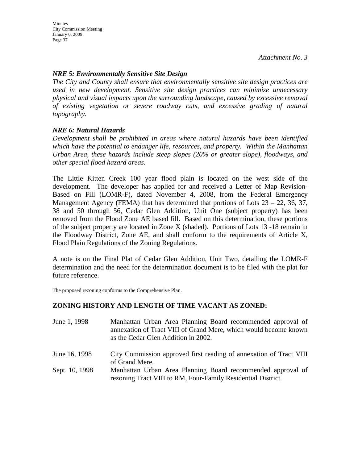### *NRE 5: Environmentally Sensitive Site Design*

*The City and County shall ensure that environmentally sensitive site design practices are used in new development. Sensitive site design practices can minimize unnecessary physical and visual impacts upon the surrounding landscape, caused by excessive removal of existing vegetation or severe roadway cuts, and excessive grading of natural topography.* 

#### *NRE 6: Natural Hazards*

*Development shall be prohibited in areas where natural hazards have been identified which have the potential to endanger life, resources, and property. Within the Manhattan Urban Area, these hazards include steep slopes (20% or greater slope), floodways, and other special flood hazard areas.* 

The Little Kitten Creek 100 year flood plain is located on the west side of the development. The developer has applied for and received a Letter of Map Revision-Based on Fill (LOMR-F), dated November 4, 2008, from the Federal Emergency Management Agency (FEMA) that has determined that portions of Lots 23 – 22, 36, 37, 38 and 50 through 56, Cedar Glen Addition, Unit One (subject property) has been removed from the Flood Zone AE based fill. Based on this determination, these portions of the subject property are located in Zone X (shaded). Portions of Lots 13 -18 remain in the Floodway District, Zone AE, and shall conform to the requirements of Article X, Flood Plain Regulations of the Zoning Regulations.

A note is on the Final Plat of Cedar Glen Addition, Unit Two, detailing the LOMR-F determination and the need for the determination document is to be filed with the plat for future reference.

The proposed rezoning conforms to the Comprehensive Plan.

#### **ZONING HISTORY AND LENGTH OF TIME VACANT AS ZONED:**

| June 1, 1998   | Manhattan Urban Area Planning Board recommended approval of<br>annexation of Tract VIII of Grand Mere, which would become known<br>as the Cedar Glen Addition in 2002. |
|----------------|------------------------------------------------------------------------------------------------------------------------------------------------------------------------|
| June 16, 1998  | City Commission approved first reading of annexation of Tract VIII                                                                                                     |
|                | of Grand Mere.                                                                                                                                                         |
| Sept. 10, 1998 | Manhattan Urban Area Planning Board recommended approval of<br>rezoning Tract VIII to RM, Four-Family Residential District.                                            |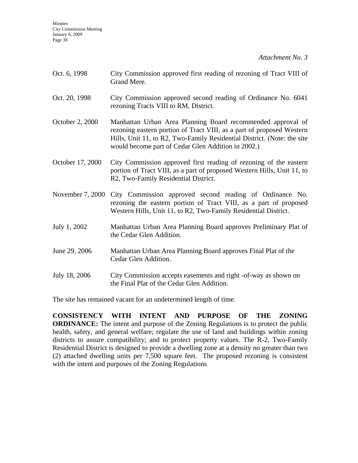| Oct. 6, 1998     | City Commission approved first reading of rezoning of Tract VIII of<br>Grand Mere.                                                                                                                                                                                    |
|------------------|-----------------------------------------------------------------------------------------------------------------------------------------------------------------------------------------------------------------------------------------------------------------------|
| Oct. 20, 1998    | City Commission approved second reading of Ordinance No. 6041<br>rezoning Tracts VIII to RM, District.                                                                                                                                                                |
| October 2, 2000  | Manhattan Urban Area Planning Board recommended approval of<br>rezoning eastern portion of Tract VIII, as a part of proposed Western<br>Hills, Unit 11, to R2, Two-Family Residential District. (Note: the site<br>would become part of Cedar Glen Addition in 2002.) |
| October 17, 2000 | City Commission approved first reading of rezoning of the eastern<br>portion of Tract VIII, as a part of proposed Western Hills, Unit 11, to<br>R2, Two-Family Residential District.                                                                                  |
| November 7, 2000 | City Commission approved second reading of Ordinance No.<br>rezoning the eastern portion of Tract VIII, as a part of proposed<br>Western Hills, Unit 11, to R2, Two-Family Residential District.                                                                      |
| July 1, 2002     | Manhattan Urban Area Planning Board approves Preliminary Plat of<br>the Cedar Glen Addition.                                                                                                                                                                          |
| June 29, 2006    | Manhattan Urban Area Planning Board approves Final Plat of the<br>Cedar Glen Addition.                                                                                                                                                                                |
| July 18, 2006    | City Commission accepts easements and right -of-way as shown on<br>the Final Plat of the Cedar Glen Addition.                                                                                                                                                         |

The site has remained vacant for an undetermined length of time.

**CONSISTENCY WITH INTENT AND PURPOSE OF THE ZONING ORDINANCE:** The intent and purpose of the Zoning Regulations is to protect the public health, safety, and general welfare; regulate the use of land and buildings within zoning districts to assure compatibility; and to protect property values. The R-2, Two-Family Residential District is designed to provide a dwelling zone at a density no greater than two (2) attached dwelling units per 7,500 square feet. The proposed rezoning is consistent with the intent and purposes of the Zoning Regulations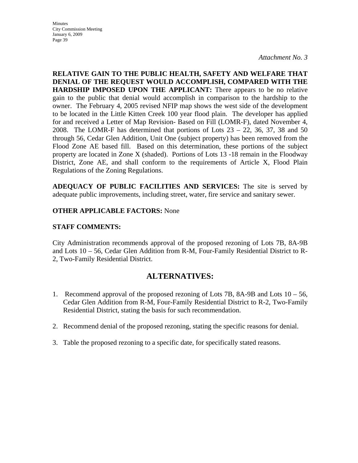**Minutes** City Commission Meeting January 6, 2009 Page 39

*Attachment No. 3* 

**RELATIVE GAIN TO THE PUBLIC HEALTH, SAFETY AND WELFARE THAT DENIAL OF THE REQUEST WOULD ACCOMPLISH, COMPARED WITH THE HARDSHIP IMPOSED UPON THE APPLICANT:** There appears to be no relative gain to the public that denial would accomplish in comparison to the hardship to the owner. The February 4, 2005 revised NFIP map shows the west side of the development to be located in the Little Kitten Creek 100 year flood plain. The developer has applied for and received a Letter of Map Revision- Based on Fill (LOMR-F), dated November 4, 2008. The LOMR-F has determined that portions of Lots  $23 - 22$ , 36, 37, 38 and 50 through 56, Cedar Glen Addition, Unit One (subject property) has been removed from the Flood Zone AE based fill. Based on this determination, these portions of the subject property are located in Zone X (shaded). Portions of Lots 13 -18 remain in the Floodway District, Zone AE, and shall conform to the requirements of Article X, Flood Plain Regulations of the Zoning Regulations.

**ADEQUACY OF PUBLIC FACILITIES AND SERVICES:** The site is served by adequate public improvements, including street, water, fire service and sanitary sewer.

#### **OTHER APPLICABLE FACTORS:** None

#### **STAFF COMMENTS:**

City Administration recommends approval of the proposed rezoning of Lots 7B, 8A-9B and Lots 10 – 56, Cedar Glen Addition from R-M, Four-Family Residential District to R-2, Two-Family Residential District.

## **ALTERNATIVES:**

- 1. Recommend approval of the proposed rezoning of Lots 7B, 8A-9B and Lots 10 56, Cedar Glen Addition from R-M, Four-Family Residential District to R-2, Two-Family Residential District, stating the basis for such recommendation.
- 2. Recommend denial of the proposed rezoning, stating the specific reasons for denial.
- 3. Table the proposed rezoning to a specific date, for specifically stated reasons.